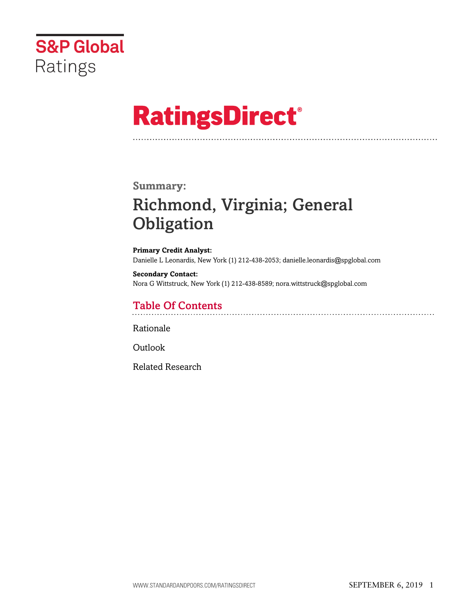

# **RatingsDirect®**

### **Summary:**

# Richmond, Virginia; General **Obligation**

**Primary Credit Analyst:** Danielle L Leonardis, New York (1) 212-438-2053; danielle.leonardis@spglobal.com

**Secondary Contact:** Nora G Wittstruck, New York (1) 212-438-8589; nora.wittstruck@spglobal.com

# Table Of Contents

[Rationale](#page-1-0)

[Outlook](#page-6-0)

[Related Research](#page-7-0)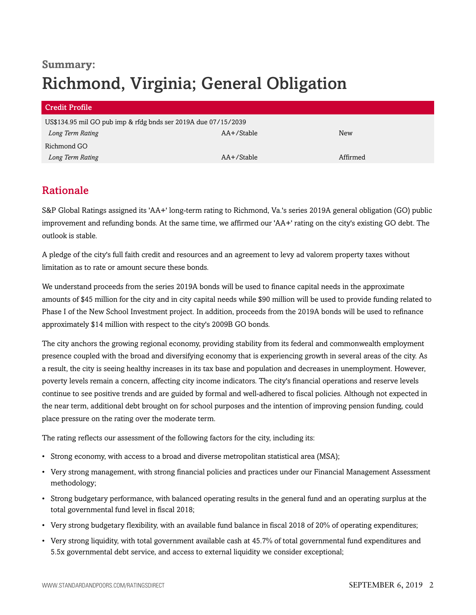# **Summary:** Richmond, Virginia; General Obligation

| <b>Credit Profile</b>                                          |                 |          |  |
|----------------------------------------------------------------|-----------------|----------|--|
| US\$134.95 mil GO pub imp & rfdg bnds ser 2019A due 07/15/2039 |                 |          |  |
| Long Term Rating                                               | AA+/Stable      | New      |  |
| Richmond GO                                                    |                 |          |  |
| Long Term Rating                                               | $AA + /$ Stable | Affirmed |  |

## <span id="page-1-0"></span>Rationale

S&P Global Ratings assigned its 'AA+' long-term rating to Richmond, Va.'s series 2019A general obligation (GO) public improvement and refunding bonds. At the same time, we affirmed our 'AA+' rating on the city's existing GO debt. The outlook is stable.

A pledge of the city's full faith credit and resources and an agreement to levy ad valorem property taxes without limitation as to rate or amount secure these bonds.

We understand proceeds from the series 2019A bonds will be used to finance capital needs in the approximate amounts of \$45 million for the city and in city capital needs while \$90 million will be used to provide funding related to Phase I of the New School Investment project. In addition, proceeds from the 2019A bonds will be used to refinance approximately \$14 million with respect to the city's 2009B GO bonds.

The city anchors the growing regional economy, providing stability from its federal and commonwealth employment presence coupled with the broad and diversifying economy that is experiencing growth in several areas of the city. As a result, the city is seeing healthy increases in its tax base and population and decreases in unemployment. However, poverty levels remain a concern, affecting city income indicators. The city's financial operations and reserve levels continue to see positive trends and are guided by formal and well-adhered to fiscal policies. Although not expected in the near term, additional debt brought on for school purposes and the intention of improving pension funding, could place pressure on the rating over the moderate term.

The rating reflects our assessment of the following factors for the city, including its:

- Strong economy, with access to a broad and diverse metropolitan statistical area (MSA);
- Very strong management, with strong financial policies and practices under our Financial Management Assessment methodology;
- Strong budgetary performance, with balanced operating results in the general fund and an operating surplus at the total governmental fund level in fiscal 2018;
- Very strong budgetary flexibility, with an available fund balance in fiscal 2018 of 20% of operating expenditures;
- Very strong liquidity, with total government available cash at 45.7% of total governmental fund expenditures and 5.5x governmental debt service, and access to external liquidity we consider exceptional;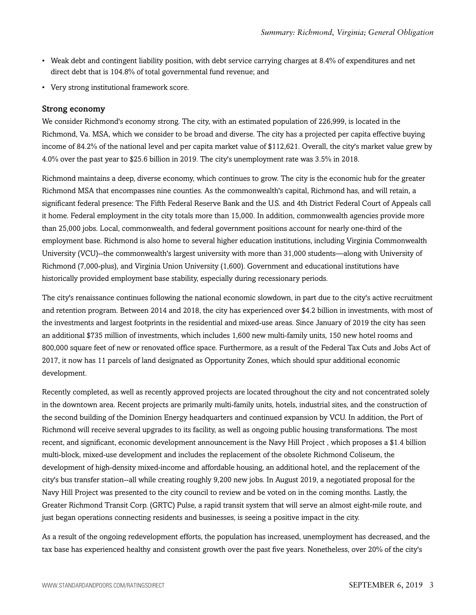- Weak debt and contingent liability position, with debt service carrying charges at 8.4% of expenditures and net direct debt that is 104.8% of total governmental fund revenue; and
- Very strong institutional framework score.

#### Strong economy

We consider Richmond's economy strong. The city, with an estimated population of 226,999, is located in the Richmond, Va. MSA, which we consider to be broad and diverse. The city has a projected per capita effective buying income of 84.2% of the national level and per capita market value of \$112,621. Overall, the city's market value grew by 4.0% over the past year to \$25.6 billion in 2019. The city's unemployment rate was 3.5% in 2018.

Richmond maintains a deep, diverse economy, which continues to grow. The city is the economic hub for the greater Richmond MSA that encompasses nine counties. As the commonwealth's capital, Richmond has, and will retain, a significant federal presence: The Fifth Federal Reserve Bank and the U.S. and 4th District Federal Court of Appeals call it home. Federal employment in the city totals more than 15,000. In addition, commonwealth agencies provide more than 25,000 jobs. Local, commonwealth, and federal government positions account for nearly one-third of the employment base. Richmond is also home to several higher education institutions, including Virginia Commonwealth University (VCU)--the commonwealth's largest university with more than 31,000 students—along with University of Richmond (7,000-plus), and Virginia Union University (1,600). Government and educational institutions have historically provided employment base stability, especially during recessionary periods.

The city's renaissance continues following the national economic slowdown, in part due to the city's active recruitment and retention program. Between 2014 and 2018, the city has experienced over \$4.2 billion in investments, with most of the investments and largest footprints in the residential and mixed-use areas. Since January of 2019 the city has seen an additional \$735 million of investments, which includes 1,600 new multi-family units, 150 new hotel rooms and 800,000 square feet of new or renovated office space. Furthermore, as a result of the Federal Tax Cuts and Jobs Act of 2017, it now has 11 parcels of land designated as Opportunity Zones, which should spur additional economic development.

Recently completed, as well as recently approved projects are located throughout the city and not concentrated solely in the downtown area. Recent projects are primarily multi-family units, hotels, industrial sites, and the construction of the second building of the Dominion Energy headquarters and continued expansion by VCU. In addition, the Port of Richmond will receive several upgrades to its facility, as well as ongoing public housing transformations. The most recent, and significant, economic development announcement is the Navy Hill Project , which proposes a \$1.4 billion multi-block, mixed-use development and includes the replacement of the obsolete Richmond Coliseum, the development of high-density mixed-income and affordable housing, an additional hotel, and the replacement of the city's bus transfer station--all while creating roughly 9,200 new jobs. In August 2019, a negotiated proposal for the Navy Hill Project was presented to the city council to review and be voted on in the coming months. Lastly, the Greater Richmond Transit Corp. (GRTC) Pulse, a rapid transit system that will serve an almost eight-mile route, and just began operations connecting residents and businesses, is seeing a positive impact in the city.

As a result of the ongoing redevelopment efforts, the population has increased, unemployment has decreased, and the tax base has experienced healthy and consistent growth over the past five years. Nonetheless, over 20% of the city's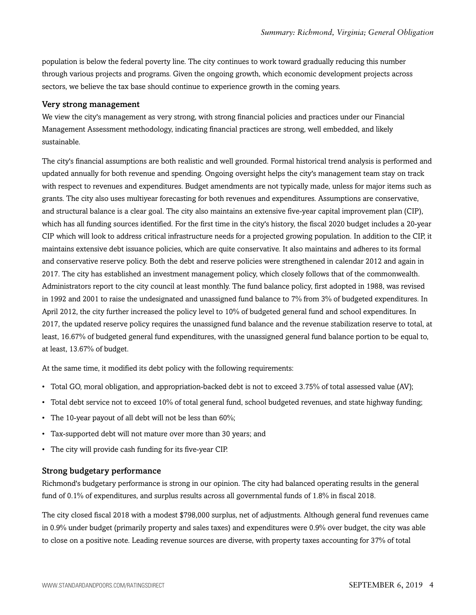population is below the federal poverty line. The city continues to work toward gradually reducing this number through various projects and programs. Given the ongoing growth, which economic development projects across sectors, we believe the tax base should continue to experience growth in the coming years.

#### Very strong management

We view the city's management as very strong, with strong financial policies and practices under our Financial Management Assessment methodology, indicating financial practices are strong, well embedded, and likely sustainable.

The city's financial assumptions are both realistic and well grounded. Formal historical trend analysis is performed and updated annually for both revenue and spending. Ongoing oversight helps the city's management team stay on track with respect to revenues and expenditures. Budget amendments are not typically made, unless for major items such as grants. The city also uses multiyear forecasting for both revenues and expenditures. Assumptions are conservative, and structural balance is a clear goal. The city also maintains an extensive five-year capital improvement plan (CIP), which has all funding sources identified. For the first time in the city's history, the fiscal 2020 budget includes a 20-year CIP which will look to address critical infrastructure needs for a projected growing population. In addition to the CIP, it maintains extensive debt issuance policies, which are quite conservative. It also maintains and adheres to its formal and conservative reserve policy. Both the debt and reserve policies were strengthened in calendar 2012 and again in 2017. The city has established an investment management policy, which closely follows that of the commonwealth. Administrators report to the city council at least monthly. The fund balance policy, first adopted in 1988, was revised in 1992 and 2001 to raise the undesignated and unassigned fund balance to 7% from 3% of budgeted expenditures. In April 2012, the city further increased the policy level to 10% of budgeted general fund and school expenditures. In 2017, the updated reserve policy requires the unassigned fund balance and the revenue stabilization reserve to total, at least, 16.67% of budgeted general fund expenditures, with the unassigned general fund balance portion to be equal to, at least, 13.67% of budget.

At the same time, it modified its debt policy with the following requirements:

- Total GO, moral obligation, and appropriation-backed debt is not to exceed 3.75% of total assessed value (AV);
- Total debt service not to exceed 10% of total general fund, school budgeted revenues, and state highway funding;
- The 10-year payout of all debt will not be less than 60%;
- Tax-supported debt will not mature over more than 30 years; and
- The city will provide cash funding for its five-year CIP.

#### Strong budgetary performance

Richmond's budgetary performance is strong in our opinion. The city had balanced operating results in the general fund of 0.1% of expenditures, and surplus results across all governmental funds of 1.8% in fiscal 2018.

The city closed fiscal 2018 with a modest \$798,000 surplus, net of adjustments. Although general fund revenues came in 0.9% under budget (primarily property and sales taxes) and expenditures were 0.9% over budget, the city was able to close on a positive note. Leading revenue sources are diverse, with property taxes accounting for 37% of total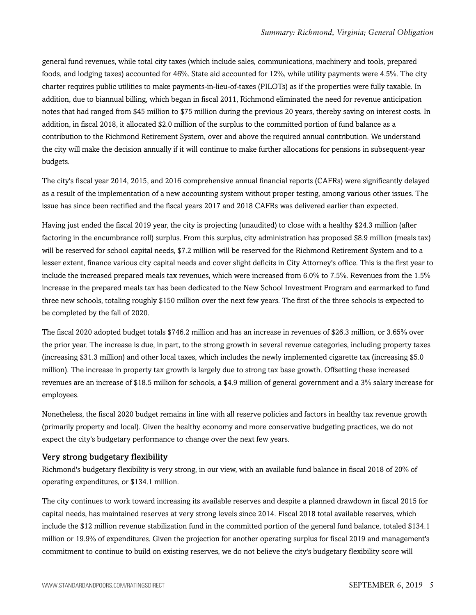general fund revenues, while total city taxes (which include sales, communications, machinery and tools, prepared foods, and lodging taxes) accounted for 46%. State aid accounted for 12%, while utility payments were 4.5%. The city charter requires public utilities to make payments-in-lieu-of-taxes (PILOTs) as if the properties were fully taxable. In addition, due to biannual billing, which began in fiscal 2011, Richmond eliminated the need for revenue anticipation notes that had ranged from \$45 million to \$75 million during the previous 20 years, thereby saving on interest costs. In addition, in fiscal 2018, it allocated \$2.0 million of the surplus to the committed portion of fund balance as a contribution to the Richmond Retirement System, over and above the required annual contribution. We understand the city will make the decision annually if it will continue to make further allocations for pensions in subsequent-year budgets.

The city's fiscal year 2014, 2015, and 2016 comprehensive annual financial reports (CAFRs) were significantly delayed as a result of the implementation of a new accounting system without proper testing, among various other issues. The issue has since been rectified and the fiscal years 2017 and 2018 CAFRs was delivered earlier than expected.

Having just ended the fiscal 2019 year, the city is projecting (unaudited) to close with a healthy \$24.3 million (after factoring in the encumbrance roll) surplus. From this surplus, city administration has proposed \$8.9 million (meals tax) will be reserved for school capital needs, \$7.2 million will be reserved for the Richmond Retirement System and to a lesser extent, finance various city capital needs and cover slight deficits in City Attorney's office. This is the first year to include the increased prepared meals tax revenues, which were increased from 6.0% to 7.5%. Revenues from the 1.5% increase in the prepared meals tax has been dedicated to the New School Investment Program and earmarked to fund three new schools, totaling roughly \$150 million over the next few years. The first of the three schools is expected to be completed by the fall of 2020.

The fiscal 2020 adopted budget totals \$746.2 million and has an increase in revenues of \$26.3 million, or 3.65% over the prior year. The increase is due, in part, to the strong growth in several revenue categories, including property taxes (increasing \$31.3 million) and other local taxes, which includes the newly implemented cigarette tax (increasing \$5.0 million). The increase in property tax growth is largely due to strong tax base growth. Offsetting these increased revenues are an increase of \$18.5 million for schools, a \$4.9 million of general government and a 3% salary increase for employees.

Nonetheless, the fiscal 2020 budget remains in line with all reserve policies and factors in healthy tax revenue growth (primarily property and local). Given the healthy economy and more conservative budgeting practices, we do not expect the city's budgetary performance to change over the next few years.

#### Very strong budgetary flexibility

Richmond's budgetary flexibility is very strong, in our view, with an available fund balance in fiscal 2018 of 20% of operating expenditures, or \$134.1 million.

The city continues to work toward increasing its available reserves and despite a planned drawdown in fiscal 2015 for capital needs, has maintained reserves at very strong levels since 2014. Fiscal 2018 total available reserves, which include the \$12 million revenue stabilization fund in the committed portion of the general fund balance, totaled \$134.1 million or 19.9% of expenditures. Given the projection for another operating surplus for fiscal 2019 and management's commitment to continue to build on existing reserves, we do not believe the city's budgetary flexibility score will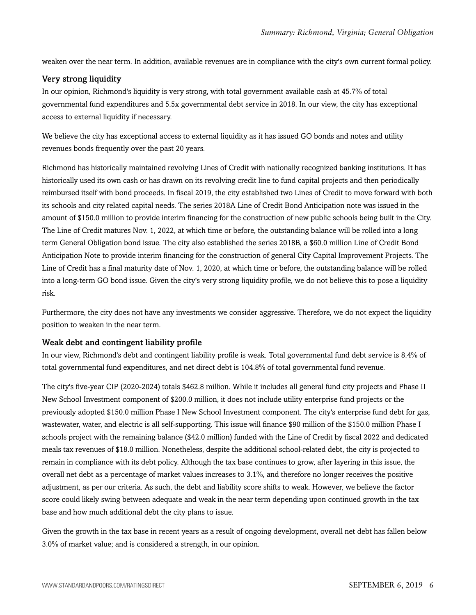weaken over the near term. In addition, available revenues are in compliance with the city's own current formal policy.

#### Very strong liquidity

In our opinion, Richmond's liquidity is very strong, with total government available cash at 45.7% of total governmental fund expenditures and 5.5x governmental debt service in 2018. In our view, the city has exceptional access to external liquidity if necessary.

We believe the city has exceptional access to external liquidity as it has issued GO bonds and notes and utility revenues bonds frequently over the past 20 years.

Richmond has historically maintained revolving Lines of Credit with nationally recognized banking institutions. It has historically used its own cash or has drawn on its revolving credit line to fund capital projects and then periodically reimbursed itself with bond proceeds. In fiscal 2019, the city established two Lines of Credit to move forward with both its schools and city related capital needs. The series 2018A Line of Credit Bond Anticipation note was issued in the amount of \$150.0 million to provide interim financing for the construction of new public schools being built in the City. The Line of Credit matures Nov. 1, 2022, at which time or before, the outstanding balance will be rolled into a long term General Obligation bond issue. The city also established the series 2018B, a \$60.0 million Line of Credit Bond Anticipation Note to provide interim financing for the construction of general City Capital Improvement Projects. The Line of Credit has a final maturity date of Nov. 1, 2020, at which time or before, the outstanding balance will be rolled into a long-term GO bond issue. Given the city's very strong liquidity profile, we do not believe this to pose a liquidity risk.

Furthermore, the city does not have any investments we consider aggressive. Therefore, we do not expect the liquidity position to weaken in the near term.

#### Weak debt and contingent liability profile

In our view, Richmond's debt and contingent liability profile is weak. Total governmental fund debt service is 8.4% of total governmental fund expenditures, and net direct debt is 104.8% of total governmental fund revenue.

The city's five-year CIP (2020-2024) totals \$462.8 million. While it includes all general fund city projects and Phase II New School Investment component of \$200.0 million, it does not include utility enterprise fund projects or the previously adopted \$150.0 million Phase I New School Investment component. The city's enterprise fund debt for gas, wastewater, water, and electric is all self-supporting. This issue will finance \$90 million of the \$150.0 million Phase I schools project with the remaining balance (\$42.0 million) funded with the Line of Credit by fiscal 2022 and dedicated meals tax revenues of \$18.0 million. Nonetheless, despite the additional school-related debt, the city is projected to remain in compliance with its debt policy. Although the tax base continues to grow, after layering in this issue, the overall net debt as a percentage of market values increases to 3.1%, and therefore no longer receives the positive adjustment, as per our criteria. As such, the debt and liability score shifts to weak. However, we believe the factor score could likely swing between adequate and weak in the near term depending upon continued growth in the tax base and how much additional debt the city plans to issue.

Given the growth in the tax base in recent years as a result of ongoing development, overall net debt has fallen below 3.0% of market value; and is considered a strength, in our opinion.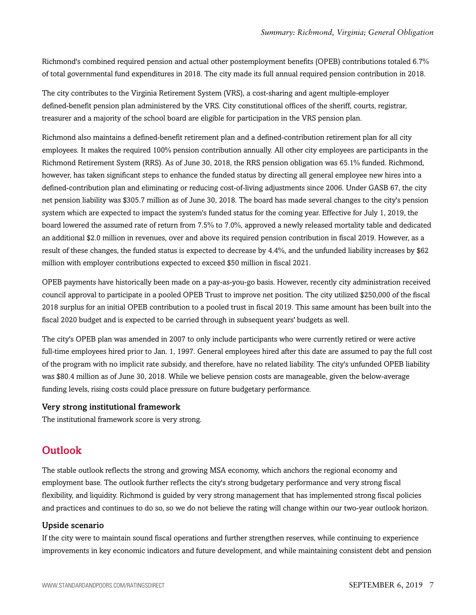Richmond's combined required pension and actual other postemployment benefits (OPEB) contributions totaled 6.7% of total governmental fund expenditures in 2018. The city made its full annual required pension contribution in 2018.

The city contributes to the Virginia Retirement System (VRS), a cost-sharing and agent multiple-employer defined-benefit pension plan administered by the VRS. City constitutional offices of the sheriff, courts, registrar, treasurer and a majority of the school board are eligible for participation in the VRS pension plan.

Richmond also maintains a defined-benefit retirement plan and a defined-contribution retirement plan for all city employees. It makes the required 100% pension contribution annually. All other city employees are participants in the Richmond Retirement System (RRS). As of June 30, 2018, the RRS pension obligation was 65.1% funded. Richmond, however, has taken significant steps to enhance the funded status by directing all general employee new hires into a defined-contribution plan and eliminating or reducing cost-of-living adjustments since 2006. Under GASB 67, the city net pension liability was \$305.7 million as of June 30, 2018. The board has made several changes to the city's pension system which are expected to impact the system's funded status for the coming year. Effective for July 1, 2019, the board lowered the assumed rate of return from 7.5% to 7.0%, approved a newly released mortality table and dedicated an additional \$2.0 million in revenues, over and above its required pension contribution in fiscal 2019. However, as a result of these changes, the funded status is expected to decrease by 4.4%, and the unfunded liability increases by \$62 million with employer contributions expected to exceed \$50 million in fiscal 2021.

OPEB payments have historically been made on a pay-as-you-go basis. However, recently city administration received council approval to participate in a pooled OPEB Trust to improve net position. The city utilized \$250,000 of the fiscal 2018 surplus for an initial OPEB contribution to a pooled trust in fiscal 2019. This same amount has been built into the fiscal 2020 budget and is expected to be carried through in subsequent years' budgets as well.

The city's OPEB plan was amended in 2007 to only include participants who were currently retired or were active full-time employees hired prior to Jan. 1, 1997. General employees hired after this date are assumed to pay the full cost of the program with no implicit rate subsidy, and therefore, have no related liability. The city's unfunded OPEB liability was \$80.4 million as of June 30, 2018. While we believe pension costs are manageable, given the below-average funding levels, rising costs could place pressure on future budgetary performance.

#### Very strong institutional framework

<span id="page-6-0"></span>The institutional framework score is very strong.

### **Outlook**

The stable outlook reflects the strong and growing MSA economy, which anchors the regional economy and employment base. The outlook further reflects the city's strong budgetary performance and very strong fiscal flexibility, and liquidity. Richmond is guided by very strong management that has implemented strong fiscal policies and practices and continues to do so, so we do not believe the rating will change within our two-year outlook horizon.

#### Upside scenario

If the city were to maintain sound fiscal operations and further strengthen reserves, while continuing to experience improvements in key economic indicators and future development, and while maintaining consistent debt and pension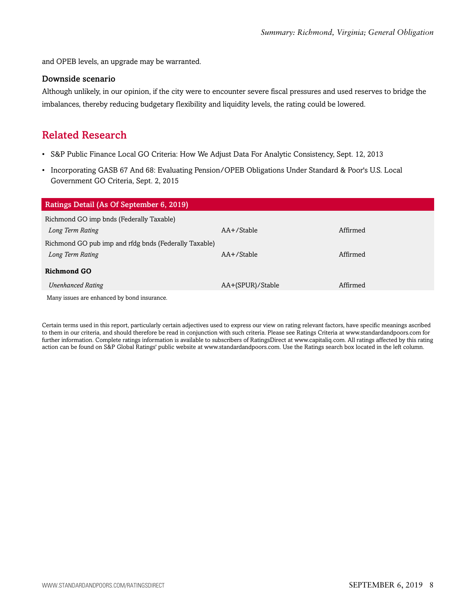and OPEB levels, an upgrade may be warranted.

#### Downside scenario

Although unlikely, in our opinion, if the city were to encounter severe fiscal pressures and used reserves to bridge the imbalances, thereby reducing budgetary flexibility and liquidity levels, the rating could be lowered.

## <span id="page-7-0"></span>Related Research

- S&P Public Finance Local GO Criteria: How We Adjust Data For Analytic Consistency, Sept. 12, 2013
- Incorporating GASB 67 And 68: Evaluating Pension/OPEB Obligations Under Standard & Poor's U.S. Local Government GO Criteria, Sept. 2, 2015

| Ratings Detail (As Of September 6, 2019)              |                  |          |  |
|-------------------------------------------------------|------------------|----------|--|
| Richmond GO imp bnds (Federally Taxable)              |                  |          |  |
| Long Term Rating                                      | $AA+$ /Stable    | Affirmed |  |
| Richmond GO pub imp and rfdg bnds (Federally Taxable) |                  |          |  |
| Long Term Rating                                      | $AA + /Stable$   | Affirmed |  |
| <b>Richmond GO</b>                                    |                  |          |  |
| <b>Unenhanced Rating</b>                              | AA+(SPUR)/Stable | Affirmed |  |
| Many issues are enhanced by bond insurance.           |                  |          |  |

Certain terms used in this report, particularly certain adjectives used to express our view on rating relevant factors, have specific meanings ascribed to them in our criteria, and should therefore be read in conjunction with such criteria. Please see Ratings Criteria at www.standardandpoors.com for further information. Complete ratings information is available to subscribers of RatingsDirect at www.capitaliq.com. All ratings affected by this rating action can be found on S&P Global Ratings' public website at www.standardandpoors.com. Use the Ratings search box located in the left column.